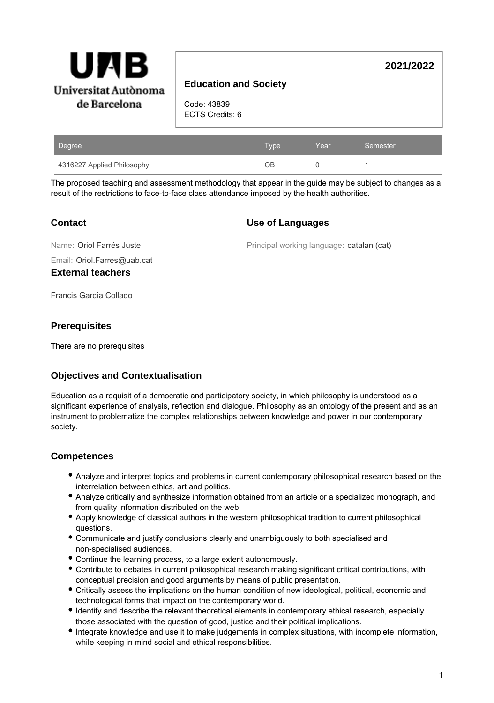

# **Education and Society**

Code: 43839 ECTS Credits: 6

| Degree                     | <b>Type</b> | Year | Semester |
|----------------------------|-------------|------|----------|
| 4316227 Applied Philosophy | ЭB          |      |          |

The proposed teaching and assessment methodology that appear in the guide may be subject to changes as a result of the restrictions to face-to-face class attendance imposed by the health authorities.

### **Contact**

#### **Use of Languages**

Name: Oriol Farrés Juste

Principal working language: catalan (cat)

**2021/2022**

Email: Oriol.Farres@uab.cat

**External teachers**

Francis García Collado

### **Prerequisites**

There are no prerequisites

## **Objectives and Contextualisation**

Education as a requisit of a democratic and participatory society, in which philosophy is understood as a significant experience of analysis, reflection and dialogue. Philosophy as an ontology of the present and as an instrument to problematize the complex relationships between knowledge and power in our contemporary society.

## **Competences**

- Analyze and interpret topics and problems in current contemporary philosophical research based on the interrelation between ethics, art and politics.
- Analyze critically and synthesize information obtained from an article or a specialized monograph, and from quality information distributed on the web.
- Apply knowledge of classical authors in the western philosophical tradition to current philosophical questions.
- Communicate and justify conclusions clearly and unambiguously to both specialised and non-specialised audiences.
- Continue the learning process, to a large extent autonomously.
- Contribute to debates in current philosophical research making significant critical contributions, with conceptual precision and good arguments by means of public presentation.
- Critically assess the implications on the human condition of new ideological, political, economic and technological forms that impact on the contemporary world.
- Identify and describe the relevant theoretical elements in contemporary ethical research, especially those associated with the question of good, justice and their political implications.
- Integrate knowledge and use it to make judgements in complex situations, with incomplete information, while keeping in mind social and ethical responsibilities.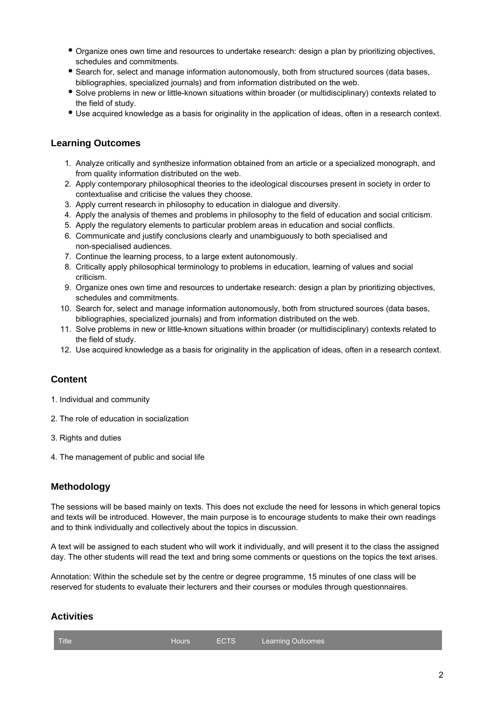- Organize ones own time and resources to undertake research: design a plan by prioritizing objectives, schedules and commitments.
- **Search for, select and manage information autonomously, both from structured sources (data bases,** bibliographies, specialized journals) and from information distributed on the web.
- Solve problems in new or little-known situations within broader (or multidisciplinary) contexts related to the field of study.
- Use acquired knowledge as a basis for originality in the application of ideas, often in a research context.

#### **Learning Outcomes**

- 1. Analyze critically and synthesize information obtained from an article or a specialized monograph, and from quality information distributed on the web.
- 2. Apply contemporary philosophical theories to the ideological discourses present in society in order to contextualise and criticise the values they choose.
- 3. Apply current research in philosophy to education in dialogue and diversity.
- 4. Apply the analysis of themes and problems in philosophy to the field of education and social criticism.
- 5. Apply the regulatory elements to particular problem areas in education and social conflicts.
- 6. Communicate and justify conclusions clearly and unambiguously to both specialised and non-specialised audiences.
- 7. Continue the learning process, to a large extent autonomously.
- 8. Critically apply philosophical terminology to problems in education, learning of values and social criticism.
- 9. Organize ones own time and resources to undertake research: design a plan by prioritizing objectives, schedules and commitments.
- 10. Search for, select and manage information autonomously, both from structured sources (data bases, bibliographies, specialized journals) and from information distributed on the web.
- 11. Solve problems in new or little-known situations within broader (or multidisciplinary) contexts related to the field of study.
- 12. Use acquired knowledge as a basis for originality in the application of ideas, often in a research context.

## **Content**

- 1. Individual and community
- 2. The role of education in socialization
- 3. Rights and duties
- 4. The management of public and social life

#### **Methodology**

The sessions will be based mainly on texts. This does not exclude the need for lessons in which general topics and texts will be introduced. However, the main purpose is to encourage students to make their own readings and to think individually and collectively about the topics in discussion.

A text will be assigned to each student who will work it individually, and will present it to the class the assigned day. The other students will read the text and bring some comments or questions on the topics the text arises.

Annotation: Within the schedule set by the centre or degree programme, 15 minutes of one class will be reserved for students to evaluate their lecturers and their courses or modules through questionnaires.

### **Activities**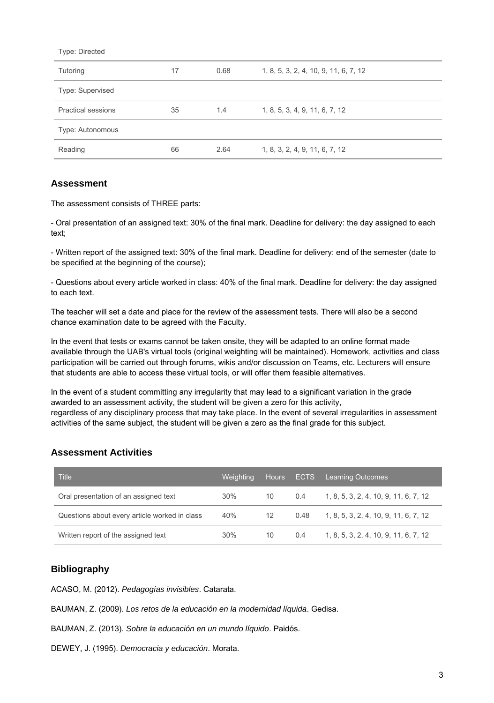| Type: Directed            |    |      |                                       |
|---------------------------|----|------|---------------------------------------|
| Tutoring                  | 17 | 0.68 | 1, 8, 5, 3, 2, 4, 10, 9, 11, 6, 7, 12 |
| Type: Supervised          |    |      |                                       |
| <b>Practical sessions</b> | 35 | 1.4  | 1, 8, 5, 3, 4, 9, 11, 6, 7, 12        |
| Type: Autonomous          |    |      |                                       |
| Reading                   | 66 | 2.64 | 1, 8, 3, 2, 4, 9, 11, 6, 7, 12        |
|                           |    |      |                                       |

### **Assessment**

The assessment consists of THREE parts:

- Oral presentation of an assigned text: 30% of the final mark. Deadline for delivery: the day assigned to each text;

- Written report of the assigned text: 30% of the final mark. Deadline for delivery: end of the semester (date to be specified at the beginning of the course);

- Questions about every article worked in class: 40% of the final mark. Deadline for delivery: the day assigned to each text.

The teacher will set a date and place for the review of the assessment tests. There will also be a second chance examination date to be agreed with the Faculty.

In the event that tests or exams cannot be taken onsite, they will be adapted to an online format made available through the UAB's virtual tools (original weighting will be maintained). Homework, activities and class participation will be carried out through forums, wikis and/or discussion on Teams, etc. Lecturers will ensure that students are able to access these virtual tools, or will offer them feasible alternatives.

In the event of a student committing any irregularity that may lead to a significant variation in the grade awarded to an assessment activity, the student will be given a zero for this activity, regardless of any disciplinary process that may take place. In the event of several irregularities in assessment activities of the same subject, the student will be given a zero as the final grade for this subject.

## **Assessment Activities**

| <b>Title</b>                                  | Weiahtina | <b>Hours</b>      | <b>ECTS</b> | Learning Outcomes                     |
|-----------------------------------------------|-----------|-------------------|-------------|---------------------------------------|
| Oral presentation of an assigned text         | $30\%$    | 10                | 0.4         | 1, 8, 5, 3, 2, 4, 10, 9, 11, 6, 7, 12 |
| Questions about every article worked in class | 40%       | $12 \overline{ }$ | 0.48        | 1, 8, 5, 3, 2, 4, 10, 9, 11, 6, 7, 12 |
| Written report of the assigned text           | 30%       | 10                | 0.4         | 1, 8, 5, 3, 2, 4, 10, 9, 11, 6, 7, 12 |

## **Bibliography**

ACASO, M. (2012). Pedagogías invisibles. Catarata.

- BAUMAN, Z. (2009). Los retos de la educación en la modernidad líquida. Gedisa.
- BAUMAN, Z. (2013). Sobre la educación en un mundo líquido. Paidós.
- DEWEY, J. (1995). Democracia y educación. Morata.